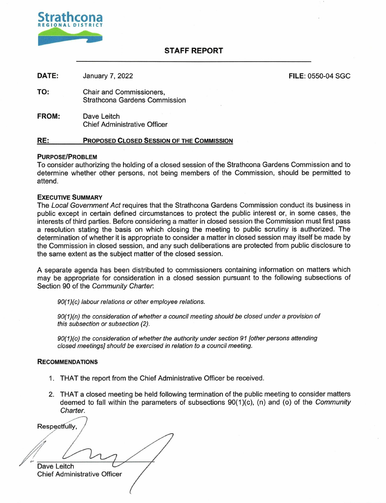

### **STAFF REPORT**

| RE:          | <b>PROPOSED CLOSED SESSION OF THE COMMISSION</b>                 |                          |
|--------------|------------------------------------------------------------------|--------------------------|
| <b>FROM:</b> | Dave Leitch<br><b>Chief Administrative Officer</b>               |                          |
| TO:          | Chair and Commissioners,<br><b>Strathcona Gardens Commission</b> |                          |
| DATE:        | January 7, 2022                                                  | <b>FILE: 0550-04 SGC</b> |

#### **PURPOSE/PROBLEM**

To consider authorizing the holding of a closed session of the Strathcona Gardens Commission and to determine whether other persons, not being members of the Commission, should be permitted to attend.

#### **EXECUTIVE SUMMARY**

The Local Government Act requires that the Strathcona Gardens Commission conduct its business in public except in certain defined circumstances to protect the public interest or, in some cases, the interests of third parties. Before considering a matter in closed session the Commission must first pass a resolution stating the basis on which closing the meeting to public scrutiny is authorized. The determination of whether it is appropriate to consider a matter in closed session may itself be made by the Commission in closed session, and any such deliberations are protected from public disclosure to the same extent as the subject matter of the closed session.

A separate agenda has been distributed to commissioners containing information on matters which may be appropriate for consideration in a closed session pursuant to the following subsections of Section 90 of the Community Charter.

90(1)(c) labour relations or other employee relations.

90(1)(n) the consideration of whether a council meeting should be closed under a provision of this subsection or subsection (2).

90(1)(o) the consideration of whether the authority under section 91 [other persons attending closed meetings] should be exercised in relation to a council meeting.

#### **RECOMMENDATIONS**

- 1. THAT the report from the Chief Administrative Officer be received.
- 2. THAT a closed meeting be held following termination of the public meeting to consider matters deemed to fall within the parameters of subsections  $90(1)(c)$ , (n) and (o) of the Community Charter.

Respectfully, Dave Leitch Chief Administrative Officer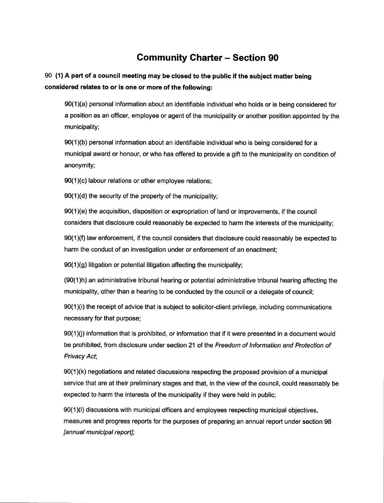# **Community Charter — Section 90**

## **90 (1) A part of a council meeting may be closed to the public if the subject matter being considered relates to or is one or more of the following:**

90(1 )(a) personal information about an identifiable individual who holds or is being considered for a position as an officer, employee or agent of the municipality or another position appointed by the municipality;

90(1 )(b) personal information about an identifiable individual who is being considered for a municipal award or honour, or who has offered to provide a gift to the municipality on condition of anonymity;

90(1 )(c) labour relations or other employee relations;

90(1 )(d) the security of the property of the municipality;

90(1 )(e) the acquisition, disposition or expropriation of land or improvements, if the council considers that disclosure could reasonably be expected to harm the interests of the municipality;

90(1 )(f) law enforcement, if the council considers that disclosure could reasonably be expected to harm the conduct of an investigation under or enforcement of an enactment;

90(1)(g) litigation or potential litigation affecting the municipality;

(90(1)h) an administrative tribunal hearing or potential administrative tribunal hearing affecting the municipality, other than a hearing to be conducted by the council or a delegate of council;

90(1)(i) the receipt of advice that is subject to solicitor-client privilege, including communications necessary for that purpose;

90(1 )(j) information that is prohibited, or information that if it were presented in a document would be prohibited, from disclosure under section 21 of the Freedom of Information and Protection of Privacy Act;

90(1 )(k) negotiations and related discussions respecting the proposed provision of a municipal service that are at their preliminary stages and that, in the view of the council, could reasonably be expected to harm the interests of the municipality if they were held in public;

90(1)(I) discussions with municipal officers and employees respecting municipal objectives, measures and progress reports for the purposes of preparing an annual report under section 98 [annual municipal report];